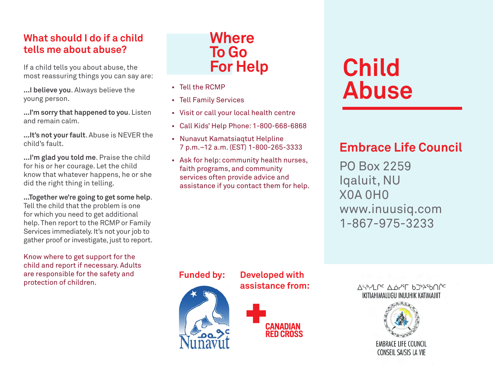### **What should I do if a child tells me about abuse?**

If a child tells you about abuse, the most reassuring things you can say are:

**...I believe you**. Always believe the young person.

**...I'm sorry that happened to you**. Listen and remain calm.

**...It's not your fault**. Abuse is NEVER the child's fault.

**...I'm glad you told me**. Praise the child for his or her courage. Let the child know that whatever happens, he or she did the right thing in telling.

**...Together we're going to get some help**. Tell the child that the problem is one for which you need to get additional help. Then report to the RCMP or Family Services immediately. It's not your job to gather proof or investigate, just to report.

Know where to get support for the child and report if necessary. Adults are responsible for the safety and protection of children.

# **Where To Go For Help**

- • Tell the RCMP
- • Tell Family Services
- • Visit or call your local health centre
- • Call Kids' Help Phone: 1-800-668-6868
- • Nunavut Kamatsiaqtut Helpline 7 p.m.–12 a.m. (EST) 1-800-265-3333
- Ask for help: community health nurses, faith programs, and community services often provide advice and assistance if you contact them for help.

# **Child Abuse**

# **Embrace Life Council**

PO Box 2259 Iqaluit, NU X0A 0H0 www.inuusiq.com 1-867-975-3233



**Funded by: Developed with assistance from:** 



ASPYLPC A.O.YST 6272S600C IKITIAHIMALUGU INUUHIK KATIMAJIIT